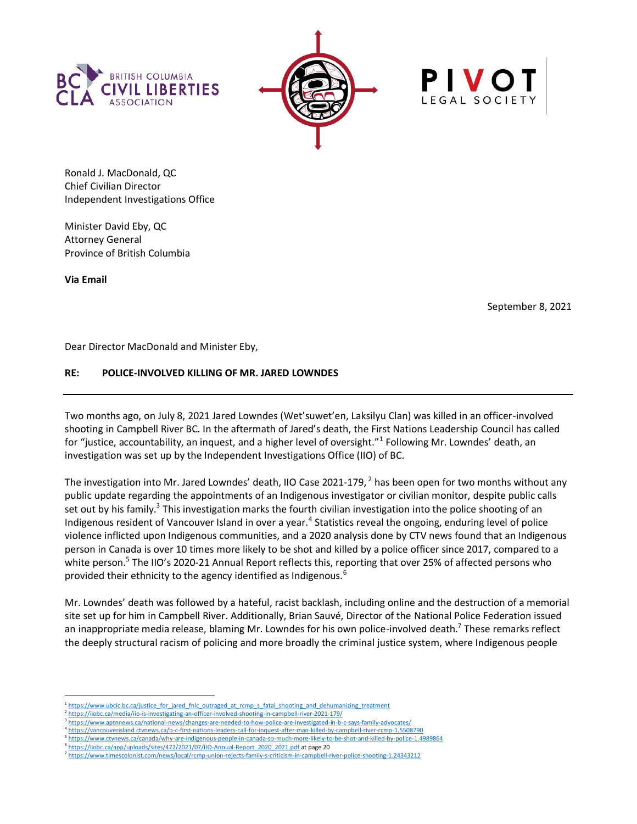





Ronald J. MacDonald, QC Chief Civilian Director Independent Investigations Office

Minister David Eby, QC Attorney General Province of British Columbia

**Via Email**

September 8, 2021

Dear Director MacDonald and Minister Eby,

# **RE: POLICE-INVOLVED KILLING OF MR. JARED LOWNDES**

Two months ago, on July 8, 2021 Jared Lowndes (Wet'suwet'en, Laksilyu Clan) was killed in an officer-involved shooting in Campbell River BC. In the aftermath of Jared's death, the First Nations Leadership Council has called for "justice, accountability, an inquest, and a higher level of oversight."<sup>1</sup> Following Mr. Lowndes' death, an investigation was set up by the Independent Investigations Office (IIO) of BC.

The investigation into Mr. Jared Lowndes' death, IIO Case 2021-179,  $^2$  has been open for two months without any public update regarding the appointments of an Indigenous investigator or civilian monitor, despite public calls set out by his family.<sup>3</sup> This investigation marks the fourth civilian investigation into the police shooting of an Indigenous resident of Vancouver Island in over a year.<sup>4</sup> Statistics reveal the ongoing, enduring level of police violence inflicted upon Indigenous communities, and a 2020 analysis done by CTV news found that an Indigenous person in Canada is over 10 times more likely to be shot and killed by a police officer since 2017, compared to a white person.<sup>5</sup> The IIO's 2020-21 Annual Report reflects this, reporting that over 25% of affected persons who provided their ethnicity to the agency identified as Indigenous.<sup>6</sup>

Mr. Lowndes' death was followed by a hateful, racist backlash, including online and the destruction of a memorial site set up for him in Campbell River. Additionally, Brian Sauvé, Director of the National Police Federation issued an inappropriate media release, blaming Mr. Lowndes for his own police-involved death.<sup>7</sup> These remarks reflect the deeply structural racism of policing and more broadly the criminal justice system, where Indigenous people

<sup>&</sup>lt;sup>1</sup> [https://www.ubcic.bc.ca/justice\\_for\\_jared\\_fnlc\\_outraged\\_at\\_rcmp\\_s\\_fatal\\_shooting\\_and\\_dehumanizing\\_treatment](https://www.ubcic.bc.ca/justice_for_jared_fnlc_outraged_at_rcmp_s_fatal_shooting_and_dehumanizing_treatment)

<sup>2</sup> <https://iiobc.ca/media/iio-is-investigating-an-officer-involved-shooting-in-campbell-river-2021-179/> 3

<https://www.aptnnews.ca/national-news/changes-are-needed-to-how-police-are-investigated-in-b-c-says-family-advocates/> 4 <https://vancouverisland.ctvnews.ca/b-c-first-nations-leaders-call-for-inquest-after-man-killed-by-campbell-river-rcmp-1.5508790>

<sup>5</sup> https://www.ctvnews.ca/canada/why-are-indigenous-people-in-canada-so-much-more-likely-to-be

<sup>6</sup> [https://iiobc.ca/app/uploads/sites/472/2021/07/IIO-Annual-Report\\_2020\\_2021.pdf](https://iiobc.ca/app/uploads/sites/472/2021/07/IIO-Annual-Report_2020_2021.pdf) at page 20

<sup>7</sup> <https://www.timescolonist.com/news/local/rcmp-union-rejects-family-s-criticism-in-campbell-river-police-shooting-1.24343212>